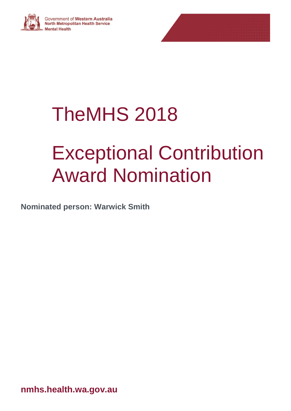

# TheMHS 2018

# Exceptional Contribution Award Nomination

**Nominated person: Warwick Smith**

**nmhs.health.wa.gov.au**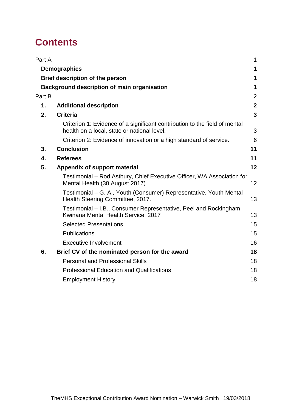## **Contents**

| Part A |                                                                                                                           | 1              |
|--------|---------------------------------------------------------------------------------------------------------------------------|----------------|
|        | <b>Demographics</b>                                                                                                       | 1              |
|        | Brief description of the person                                                                                           | 1              |
|        | <b>Background description of main organisation</b>                                                                        | 1              |
| Part B |                                                                                                                           | $\overline{2}$ |
| 1.     | <b>Additional description</b>                                                                                             | $\mathbf{2}$   |
| 2.     | <b>Criteria</b>                                                                                                           | $\overline{3}$ |
|        | Criterion 1: Evidence of a significant contribution to the field of mental<br>health on a local, state or national level. | 3              |
|        | Criterion 2: Evidence of innovation or a high standard of service.                                                        | 6              |
| 3.     | <b>Conclusion</b>                                                                                                         | 11             |
| 4.     | <b>Referees</b>                                                                                                           | 11             |
| 5.     | Appendix of support material                                                                                              | 12             |
|        | Testimonial – Rod Astbury, Chief Executive Officer, WA Association for<br>Mental Health (30 August 2017)                  | 12             |
|        | Testimonial – G. A., Youth (Consumer) Representative, Youth Mental<br>Health Steering Committee, 2017.                    | 13             |
|        | Testimonial - I.B., Consumer Representative, Peel and Rockingham<br>Kwinana Mental Health Service, 2017                   | 13             |
|        | <b>Selected Presentations</b>                                                                                             | 15             |
|        | <b>Publications</b>                                                                                                       | 15             |
|        | <b>Executive Involvement</b>                                                                                              | 16             |
| 6.     | Brief CV of the nominated person for the award                                                                            | 18             |
|        | <b>Personal and Professional Skills</b>                                                                                   | 18             |
|        | <b>Professional Education and Qualifications</b>                                                                          | 18             |
|        | <b>Employment History</b>                                                                                                 | 18             |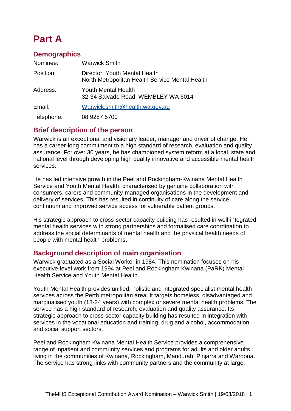## <span id="page-2-0"></span>**Part A**

#### <span id="page-2-1"></span>**Demographics**

| Nominee:   | <b>Warwick Smith</b>                                                             |
|------------|----------------------------------------------------------------------------------|
| Position:  | Director, Youth Mental Health<br>North Metropolitan Health Service Mental Health |
| Address:   | Youth Mental Health<br>32-34 Salvado Road, WEMBLEY WA 6014                       |
| Email:     | Warwick.smith@health.wa.gov.au                                                   |
| Telephone: | 08 9287 5700                                                                     |

#### <span id="page-2-2"></span>**Brief description of the person**

Warwick is an exceptional and visionary leader, manager and driver of change. He has a career-long commitment to a high standard of research, evaluation and quality assurance. For over 30 years, he has championed system reform at a local, state and national level through developing high quality innovative and accessible mental health services.

He has led intensive growth in the Peel and Rockingham-Kwinana Mental Health Service and Youth Mental Health, characterised by genuine collaboration with consumers, carers and community-managed organisations in the development and delivery of services. This has resulted in continuity of care along the service continuum and improved service access for vulnerable patient groups.

His strategic approach to cross-sector capacity building has resulted in well-integrated mental health services with strong partnerships and formalised care coordination to address the social determinants of mental health and the physical health needs of people with mental health problems.

#### <span id="page-2-3"></span>**Background description of main organisation**

Warwick graduated as a Social Worker in 1984. This nomination focuses on his executive-level work from 1994 at Peel and Rockingham Kwinana (PaRK) Mental Health Service and Youth Mental Health.

Youth Mental Health provides unified, holistic and integrated specialist mental health services across the Perth metropolitan area. It targets homeless, disadvantaged and marginalised youth (13-24 years) with complex or severe mental health problems. The service has a high standard of research, evaluation and quality assurance. Its strategic approach to cross sector capacity building has resulted in integration with services in the vocational education and training, drug and alcohol, accommodation and social support sectors.

Peel and Rockingham Kwinana Mental Health Service provides a comprehensive range of inpatient and community services and programs for adults and older adults living in the communities of Kwinana, Rockingham, Mandurah, Pinjarra and Waroona. The service has strong links with community partners and the community at large.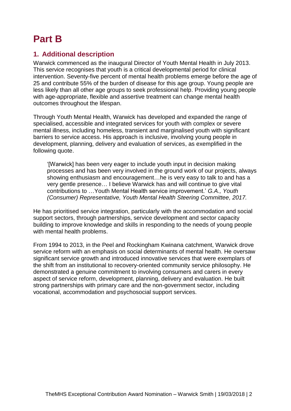### <span id="page-3-0"></span>**Part B**

#### <span id="page-3-1"></span>**1. Additional description**

Warwick commenced as the inaugural Director of Youth Mental Health in July 2013. This service recognises that youth is a critical developmental period for clinical intervention. Seventy-five percent of mental health problems emerge before the age of 25 and contribute 55% of the burden of disease for this age group. Young people are less likely than all other age groups to seek professional help. Providing young people with age-appropriate, flexible and assertive treatment can change mental health outcomes throughout the lifespan.

Through Youth Mental Health, Warwick has developed and expanded the range of specialised, accessible and integrated services for youth with complex or severe mental illness, including homeless, transient and marginalised youth with significant barriers to service access. His approach is inclusive, involving young people in development, planning, delivery and evaluation of services, as exemplified in the following quote.

'[Warwick] has been very eager to include youth input in decision making processes and has been very involved in the ground work of our projects, always showing enthusiasm and encouragement…he is very easy to talk to and has a very gentle presence… I believe Warwick has and will continue to give vital contributions to …Youth Mental Health service improvement.' *G.A., Youth (Consumer) Representative, Youth Mental Health Steering Committee, 2017.*

He has prioritised service integration, particularly with the accommodation and social support sectors, through partnerships, service development and sector capacity building to improve knowledge and skills in responding to the needs of young people with mental health problems.

From 1994 to 2013, in the Peel and Rockingham Kwinana catchment, Warwick drove service reform with an emphasis on social determinants of mental health. He oversaw significant service growth and introduced innovative services that were exemplars of the shift from an institutional to recovery-oriented community service philosophy. He demonstrated a genuine commitment to involving consumers and carers in every aspect of service reform, development, planning, delivery and evaluation. He built strong partnerships with primary care and the non-government sector, including vocational, accommodation and psychosocial support services.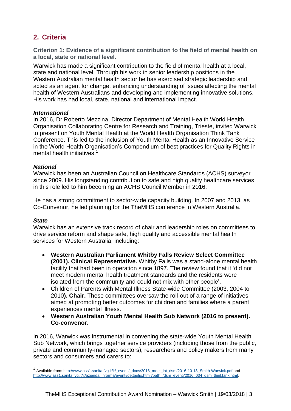### <span id="page-4-0"></span>**2. Criteria**

<span id="page-4-1"></span>**Criterion 1: Evidence of a significant contribution to the field of mental health on a local, state or national level.**

Warwick has made a significant contribution to the field of mental health at a local, state and national level. Through his work in senior leadership positions in the Western Australian mental health sector he has exercised strategic leadership and acted as an agent for change, enhancing understanding of issues affecting the mental health of Western Australians and developing and implementing innovative solutions. His work has had local, state, national and international impact.

#### *International*

In 2016, Dr Roberto Mezzina, Director Department of Mental Health World Health Organisation Collaborating Centre for Research and Training, Trieste, invited Warwick to present on Youth Mental Health at the World Health Organisation Think Tank Conference. This led to the inclusion of Youth Mental Health as an Innovative Service in the World Health Organisation's Compendium of best practices for Quality Rights in mental health initiatives.<sup>1</sup>

#### *National*

Warwick has been an Australian Council on Healthcare Standards (ACHS) surveyor since 2009. His longstanding contribution to safe and high quality healthcare services in this role led to him becoming an ACHS Council Member in 2016.

He has a strong commitment to sector-wide capacity building. In 2007 and 2013, as Co-Convenor, he led planning for the TheMHS conference in Western Australia.

#### *State*

 $\overline{a}$ 

Warwick has an extensive track record of chair and leadership roles on committees to drive service reform and shape safe, high quality and accessible mental health services for Western Australia, including:

- **Western Australian Parliament Whitby Falls Review Select Committee (2001). Clinical Representative.** Whitby Falls was a stand-alone mental health facility that had been in operation since 1897. The review found that it 'did not meet modern mental health treatment standards and the residents were isolated from the community and could not mix with other people'.
- Children of Parents with Mental Illness State-wide Committee (2003, 2004 to 2010**). Chair.** These committees oversaw the roll-out of a range of initiatives aimed at promoting better outcomes for children and families where a parent experiences mental illness.
- **Western Australian Youth Mental Health Sub Network (2016 to present). Co-convenor.**

In 2016, Warwick was instrumental in convening the state-wide Youth Mental Health Sub Network, which brings together service providers (including those from the public, private and community-managed sectors), researchers and policy makers from many sectors and consumers and carers to:

<sup>1</sup> Available from[: http://www.ass1.sanita.fvg.it/it/\\_eventi/\\_docs/2016\\_meet\\_int\\_dsm/2016-10-18\\_Smith-Warwick.pdf](http://www.ass1.sanita.fvg.it/it/_eventi/_docs/2016_meet_int_dsm/2016-10-18_Smith-Warwick.pdf) and [http://www.ass1.sanita.fvg.it/it/azienda\\_informa/eventi/dettaglio.html?path=/dsm\\_eventi/2016\\_034\\_dsm\\_thinktank.html.](http://www.ass1.sanita.fvg.it/it/azienda_informa/eventi/dettaglio.html?path=/dsm_eventi/2016_034_dsm_thinktank.html)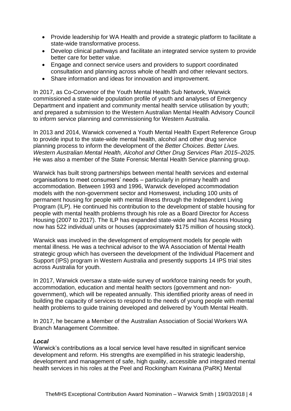- Provide leadership for WA Health and provide a strategic platform to facilitate a state-wide transformative process.
- Develop clinical pathways and facilitate an integrated service system to provide better care for better value.
- Engage and connect service users and providers to support coordinated consultation and planning across whole of health and other relevant sectors.
- Share information and ideas for innovation and improvement.

In 2017, as Co-Convenor of the Youth Mental Health Sub Network, Warwick commissioned a state-wide population profile of youth and analyses of Emergency Department and inpatient and community mental health service utilisation by youth; and prepared a submission to the Western Australian Mental Health Advisory Council to inform service planning and commissioning for Western Australia.

In 2013 and 2014, Warwick convened a Youth Mental Health Expert Reference Group to provide input to the state-wide mental health, alcohol and other drug service planning process to inform the development of the *Better Choices. Better Lives. Western Australian Mental Health, Alcohol and Other Drug Services Plan 2015–2025.*  He was also a member of the State Forensic Mental Health Service planning group.

Warwick has built strong partnerships between mental health services and external organisations to meet consumers' needs – particularly in primary health and accommodation. Between 1993 and 1996, Warwick developed accommodation models with the non-government sector and Homeswest, including 100 units of permanent housing for people with mental illness through the Independent Living Program (ILP). He continued his contribution to the development of stable housing for people with mental health problems through his role as a Board Director for Access Housing (2007 to 2017). The ILP has expanded state-wide and has Access Housing now has 522 individual units or houses (approximately \$175 million of housing stock).

Warwick was involved in the development of employment models for people with mental illness. He was a technical advisor to the WA Association of Mental Health strategic group which has overseen the development of the Individual Placement and Support (IPS) program in Western Australia and presently supports 14 IPS trial sites across Australia for youth.

In 2017, Warwick oversaw a state-wide survey of workforce training needs for youth, accommodation, education and mental health sectors (government and nongovernment), which will be repeated annually. This identified priority areas of need in building the capacity of services to respond to the needs of young people with mental health problems to guide training developed and delivered by Youth Mental Health.

In 2017, he became a Member of the Australian Association of Social Workers WA Branch Management Committee.

#### *Local*

Warwick's contributions as a local service level have resulted in significant service development and reform. His strengths are exemplified in his strategic leadership, development and management of safe, high quality, accessible and integrated mental health services in his roles at the Peel and Rockingham Kwinana (PaRK) Mental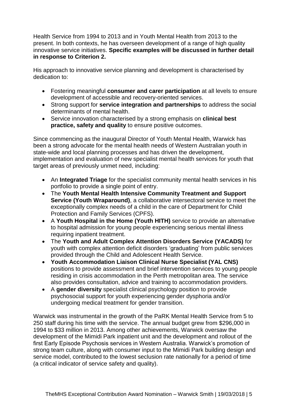Health Service from 1994 to 2013 and in Youth Mental Health from 2013 to the present. In both contexts, he has overseen development of a range of high quality innovative service initiatives. **Specific examples will be discussed in further detail in response to Criterion 2.**

His approach to innovative service planning and development is characterised by dedication to:

- Fostering meaningful **consumer and carer participation** at all levels to ensure development of accessible and recovery-oriented services.
- Strong support for **service integration and partnerships** to address the social determinants of mental health.
- Service innovation characterised by a strong emphasis on **clinical best practice, safety and quality** to ensure positive outcomes.

Since commencing as the inaugural Director of Youth Mental Health, Warwick has been a strong advocate for the mental health needs of Western Australian youth in state-wide and local planning processes and has driven the development, implementation and evaluation of new specialist mental health services for youth that target areas of previously unmet need, including:

- An **Integrated Triage** for the specialist community mental health services in his portfolio to provide a single point of entry.
- The **Youth Mental Health Intensive Community Treatment and Support Service (Youth Wraparound)**, a collaborative intersectoral service to meet the exceptionally complex needs of a child in the care of Department for Child Protection and Family Services (CPFS).
- A **Youth Hospital in the Home (Youth HITH)** service to provide an alternative to hospital admission for young people experiencing serious mental illness requiring inpatient treatment.
- The **Youth and Adult Complex Attention Disorders Service (YACADS)** for youth with complex attention deficit disorders 'graduating' from public services provided through the Child and Adolescent Health Service.
- **Youth Accommodation Liaison Clinical Nurse Specialist (YAL CNS)** positions to provide assessment and brief intervention services to young people residing in crisis accommodation in the Perth metropolitan area. The service also provides consultation, advice and training to accommodation providers.
- A **gender diversity** specialist clinical psychology position to provide psychosocial support for youth experiencing gender dysphoria and/or undergoing medical treatment for gender transition.

Warwick was instrumental in the growth of the PaRK Mental Health Service from 5 to 250 staff during his time with the service. The annual budget grew from \$296,000 in 1994 to \$33 million in 2013. Among other achievements, Warwick oversaw the development of the Mimidi Park inpatient unit and the development and rollout of the first Early Episode Psychosis services in Western Australia. Warwick's promotion of strong team culture, along with consumer input to the Mimidi Park building design and service model, contributed to the lowest seclusion rate nationally for a period of time (a critical indicator of service safety and quality).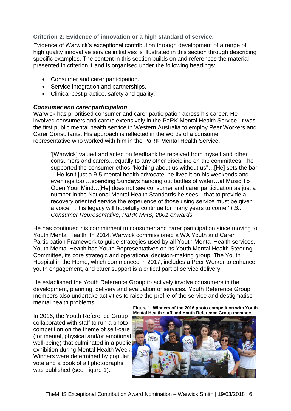<span id="page-7-0"></span>**Criterion 2: Evidence of innovation or a high standard of service.**

Evidence of Warwick's exceptional contribution through development of a range of high quality innovative service initiatives is illustrated in this section through describing specific examples. The content in this section builds on and references the material presented in criterion 1 and is organised under the following headings:

- Consumer and carer participation.
- Service integration and partnerships.
- Clinical best practice, safety and quality.

#### *Consumer and carer participation*

Warwick has prioritised consumer and carer participation across his career. He involved consumers and carers extensively in the PaRK Mental Health Service. It was the first public mental health service in Western Australia to employ Peer Workers and Carer Consultants. His approach is reflected in the words of a consumer representative who worked with him in the PaRK Mental Health Service.

'[Warwick] valued and acted on feedback he received from myself and other consumers and carers…equally to any other discipline on the committees…he supported the consumer ethos "Nothing about us without us"…[He] sets the bar …He isn't just a 9-5 mental health advocate, he lives it on his weekends and evenings too …spending Sundays handing out bottles of water…at Music To Open Your Mind…[He] does not see consumer and carer participation as just a number in the National Mental Health Standards he sees…that to provide a recovery oriented service the experience of those using service must be given a voice … his legacy will hopefully continue for many years to come.' *I.B., Consumer Representative, PaRK MHS, 2001 onwards.*

He has continued his commitment to consumer and carer participation since moving to Youth Mental Health. In 2014, Warwick commissioned a WA Youth and Carer Participation Framework to guide strategies used by all Youth Mental Health services. Youth Mental Health has Youth Representatives on its Youth Mental Health Steering Committee, its core strategic and operational decision-making group. The Youth Hospital in the Home, which commenced in 2017, includes a Peer Worker to enhance youth engagement, and carer support is a critical part of service delivery.

He established the Youth Reference Group to actively involve consumers in the development, planning, delivery and evaluation of services. Youth Reference Group members also undertake activities to raise the profile of the service and destigmatise mental health problems.

In 2016, the Youth Reference Group collaborated with staff to run a photo competition on the theme of self-care (for mental, physical and/or emotional well-being) that culminated in a public exhibition during Mental Health Week. Winners were determined by popular vote and a book of all photographs was published (see [Figure 1\)](#page-7-1).

<span id="page-7-1"></span>**Figure 1: Winners of the 2016 photo competition with Youth Mental Health staff and Youth Reference Group members.**

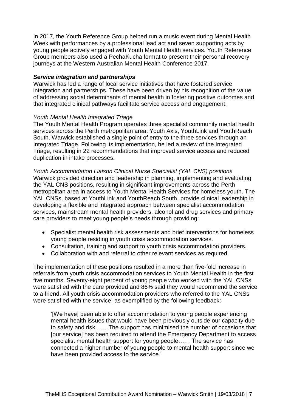In 2017, the Youth Reference Group helped run a music event during Mental Health Week with performances by a professional lead act and seven supporting acts by young people actively engaged with Youth Mental Health services. Youth Reference Group members also used a PechaKucha format to present their personal recovery journeys at the Western Australian Mental Health Conference 2017.

#### *Service integration and partnerships*

Warwick has led a range of local service initiatives that have fostered service integration and partnerships. These have been driven by his recognition of the value of addressing social determinants of mental health in fostering positive outcomes and that integrated clinical pathways facilitate service access and engagement.

#### *Youth Mental Health Integrated Triage*

The Youth Mental Health Program operates three specialist community mental health services across the Perth metropolitan area: Youth Axis, YouthLink and YouthReach South. Warwick established a single point of entry to the three services through an Integrated Triage. Following its implementation, he led a review of the Integrated Triage, resulting in 22 recommendations that improved service access and reduced duplication in intake processes.

*Youth Accommodation Liaison Clinical Nurse Specialist (YAL CNS) positions* Warwick provided direction and leadership in planning, implementing and evaluating the YAL CNS positions, resulting in significant improvements across the Perth metropolitan area in access to Youth Mental Health Services for homeless youth. The YAL CNSs, based at YouthLink and YouthReach South, provide clinical leadership in developing a flexible and integrated approach between specialist accommodation services, mainstream mental health providers, alcohol and drug services and primary care providers to meet young people's needs through providing:

- Specialist mental health risk assessments and brief interventions for homeless young people residing in youth crisis accommodation services.
- Consultation, training and support to youth crisis accommodation providers.
- Collaboration with and referral to other relevant services as required.

The implementation of these positions resulted in a more than five-fold increase in referrals from youth crisis accommodation services to Youth Mental Health in the first five months. Seventy-eight percent of young people who worked with the YAL CNSs were satisfied with the care provided and 86% said they would recommend the service to a friend. All youth crisis accommodation providers who referred to the YAL CNSs were satisfied with the service, as exemplified by the following feedback:

'[We have] been able to offer accommodation to young people experiencing mental health issues that would have been previously outside our capacity due to safety and risk…….The support has minimised the number of occasions that [our service] has been required to attend the Emergency Department to access specialist mental health support for young people…… The service has connected a higher number of young people to mental health support since we have been provided access to the service.'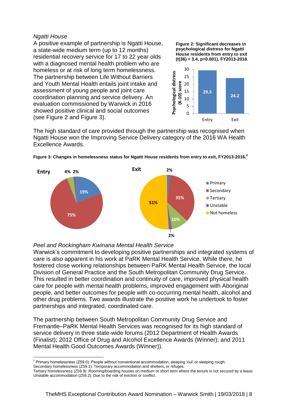#### *Ngatti House*

A positive example of partnership is Ngatti House, a state-wide medium term (up to 12 months) residential recovery service for 17 to 22 year olds with a diagnosed mental health problem who are homeless or at risk of long term homelessness. The partnership between Life Without Barriers and Youth Mental Health entails joint intake and assessment of young people and joint care coordination planning and service delivery. An evaluation commissioned by Warwick in 2016 showed positive clinical and social outcomes (see [Figure 2](#page-9-0) and [Figure 3\)](#page-9-1).

<span id="page-9-0"></span>**Figure 2: Significant decreases in psychological distress for Ngatti House residents from entry to exit (t(36) = 3.4, p=0.001), FY2013-2016.**



The high standard of care provided through the partnership was recognised when Ngatti House won the Improving Service Delivery category of the 2016 WA Health Excellence Awards.



<span id="page-9-1"></span>**Figure 3: Changes in homelessness status for Ngatti House residents from entry to exit, FY2013-2016.<sup>2</sup>**

#### *Peel and Rockingham Kwinana Mental Health Service*

Warwick's commitment to developing positive partnerships and integrated systems of care is also apparent in his work at PaRK Mental Health Service. While there, he fostered close working relationships between PaRK Mental Health Service, the local Division of General Practice and the South Metropolitan Community Drug Service. This resulted in better coordination and continuity of care, improved physical health care for people with mental health problems, improved engagement with Aboriginal people, and better outcomes for people with co-occurring mental health, alcohol and other drug problems. Two awards illustrate the positive work he undertook to foster partnerships and integrated, coordinated care.

The partnership between South Metropolitan Community Drug Service and Fremantle–PaRK Mental Health Services was recognised for its high standard of service delivery in three state-wide forums (2012 Department of Health Awards (Finalist); 2012 Office of Drug and Alcohol Excellence Awards (Winner); and 2011 Mental Health Good Outcomes Awards (Winner)).

l <sup>2</sup> Primary homelessness (Z59.0): People without conventional accommodation, sleeping 'out' or sleeping rough.

Secondary homelessness (Z59.1): Temporary accommodation and shelters, or refuges.

Tertiary homelessness (Z59.9): Rooming/boarding houses on medium or short term where the tenure is not secured by a lease. Unstable accommodation (Z59.2): Due to the risk of eviction or conflict.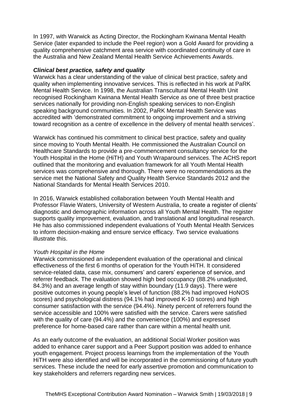In 1997, with Warwick as Acting Director, the Rockingham Kwinana Mental Health Service (later expanded to include the Peel region) won a Gold Award for providing a quality comprehensive catchment area service with coordinated continuity of care in the Australia and New Zealand Mental Health Service Achievements Awards.

#### *Clinical best practice, safety and quality*

Warwick has a clear understanding of the value of clinical best practice, safety and quality when implementing innovative services. This is reflected in his work at PaRK Mental Health Service. In 1998, the Australian Transcultural Mental Health Unit recognised Rockingham Kwinana Mental Health Service as one of three best practice services nationally for providing non-English speaking services to non-English speaking background communities. In 2002, PaRK Mental Health Service was accredited with 'demonstrated commitment to ongoing improvement and a striving toward recognition as a centre of excellence in the delivery of mental health services'.

Warwick has continued his commitment to clinical best practice, safety and quality since moving to Youth Mental Health. He commissioned the Australian Council on Healthcare Standards to provide a pre-commencement consultancy service for the Youth Hospital in the Home (HiTH) and Youth Wraparound services. The ACHS report outlined that the monitoring and evaluation framework for all Youth Mental Health services was comprehensive and thorough. There were no recommendations as the service met the National Safety and Quality Health Service Standards 2012 and the National Standards for Mental Health Services 2010.

In 2016, Warwick established collaboration between Youth Mental Health and Professor Flavie Waters, University of Western Australia, to create a register of clients' diagnostic and demographic information across all Youth Mental Health. The register supports quality improvement, evaluation, and translational and longitudinal research. He has also commissioned independent evaluations of Youth Mental Health Services to inform decision-making and ensure service efficacy. Two service evaluations illustrate this.

#### *Youth Hospital in the Home*

Warwick commissioned an independent evaluation of the operational and clinical effectiveness of the first 6 months of operation for the Youth HiTH. It considered service-related data, case mix, consumers' and carers' experience of service, and referrer feedback. The evaluation showed high bed occupancy (88.2% unadjusted, 84.3%) and an average length of stay within boundary (11.9 days). There were positive outcomes in young people's level of function (88.2% had improved HoNOS scores) and psychological distress (94.1% had improved K-10 scores) and high consumer satisfaction with the service (94.4%). Ninety percent of referrers found the service accessible and 100% were satisfied with the service. Carers were satisfied with the quality of care (94.4%) and the convenience (100%) and expressed preference for home-based care rather than care within a mental health unit.

As an early outcome of the evaluation, an additional Social Worker position was added to enhance carer support and a Peer Support position was added to enhance youth engagement. Project process learnings from the implementation of the Youth HiTH were also identified and will be incorporated in the commissioning of future youth services. These include the need for early assertive promotion and communication to key stakeholders and referrers regarding new services.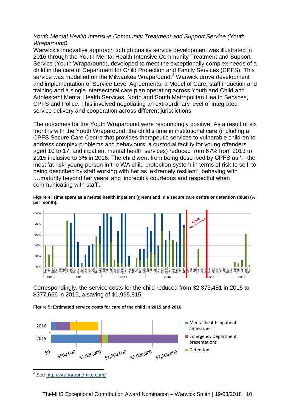#### *Youth Mental Health Intensive Community Treatment and Support Service (Youth Wraparound)*

Warwick's innovative approach to high quality service development was illustrated in 2016 through the Youth Mental Health Intensive Community Treatment and Support Service (Youth Wraparound), developed to meet the exceptionally complex needs of a child in the care of Department for Child Protection and Family Services (CPFS). This service was modelled on the Milwaukee Wraparound.<sup>3</sup> Warwick drove development and implementation of Service Level Agreements, a Model of Care, staff induction and training and a single intersectoral care plan operating across Youth and Child and Adolescent Mental Health Services, North and South Metropolitan Health Services, CPFS and Police. This involved negotiating an extraordinary level of integrated service delivery and cooperation across different jurisdictions.

The outcomes for the Youth Wraparound were resoundingly positive. As a result of six months with the Youth Wraparound, the child's time in institutional care (including a CPFS Secure Care Centre that provides therapeutic services to vulnerable children to address complex problems and behaviours; a custodial facility for young offenders aged 10 to 17; and inpatient mental health services) reduced from 67% from 2013 to 2015 inclusive to 3% in 2016. The child went from being described by CPFS as '…the most 'at risk' young person in the WA child protection system in terms of risk to self' to being described by staff working with her as 'extremely resilient', behaving with '…maturity beyond her years' and 'incredibly courteous and respectful when communicating with staff'.



**Figure 4: Time spent as a mental health inpatient (green) and in a secure care centre or detention (blue) (% per month).**

Correspondingly, the service costs for the child reduced from \$2,373,481 in 2015 to \$377,666 in 2016, a saving of \$1,995,815.

**Figure 5: Estimated service costs for care of the child in 2015 and 2016.**



<sup>&</sup>lt;sup>3</sup> See<http://wraparoundmke.com/>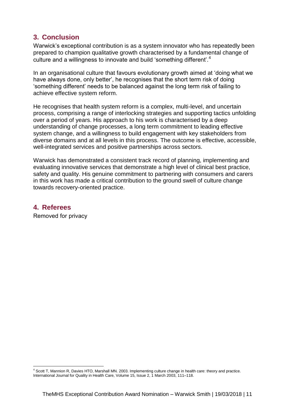#### <span id="page-12-0"></span>**3. Conclusion**

Warwick's exceptional contribution is as a system innovator who has repeatedly been prepared to champion qualitative growth characterised by a fundamental change of culture and a willingness to innovate and build 'something different'.<sup>4</sup>

In an organisational culture that favours evolutionary growth aimed at 'doing what we have always done, only better', he recognises that the short term risk of doing 'something different' needs to be balanced against the long term risk of failing to achieve effective system reform.

He recognises that health system reform is a complex, multi-level, and uncertain process, comprising a range of interlocking strategies and supporting tactics unfolding over a period of years. His approach to his work is characterised by a deep understanding of change processes, a long term commitment to leading effective system change, and a willingness to build engagement with key stakeholders from diverse domains and at all levels in this process. The outcome is effective, accessible, well-integrated services and positive partnerships across sectors.

Warwick has demonstrated a consistent track record of planning, implementing and evaluating innovative services that demonstrate a high level of clinical best practice, safety and quality. His genuine commitment to partnering with consumers and carers in this work has made a critical contribution to the ground swell of culture change towards recovery-oriented practice.

#### <span id="page-12-1"></span>**4. Referees**

Removed for privacy

<sup>4</sup> Scott T, Mannion R, Davies HTO, Marshall MN. 2003. Implementing culture change in health care: theory and practice. International Journal for Quality in Health Care, Volume 15, Issue 2, 1 March 2003, 111-118.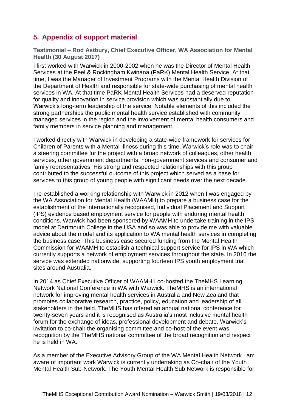#### <span id="page-13-0"></span>**5. Appendix of support material**

<span id="page-13-1"></span>**Testimonial – Rod Astbury, Chief Executive Officer, WA Association for Mental Health (30 August 2017)** 

I first worked with Warwick in 2000-2002 when he was the Director of Mental Health Services at the Peel & Rockingham Kwinana (PaRK) Mental Health Service. At that time, I was the Manager of Investment Programs with the Mental Health Division of the Department of Health and responsible for state-wide purchasing of mental health services in WA. At that time PaRK Mental Health Services had a deserved reputation for quality and innovation in service provision which was substantially due to Warwick's long-term leadership of the service. Notable elements of this included the strong partnerships the public mental health service established with community managed services in the region and the involvement of mental health consumers and family members in service planning and management.

I worked directly with Warwick in developing a state-wide framework for services for Children of Parents with a Mental Illness during this time. Warwick's role was to chair a steering committee for the project with a broad network of colleagues, other health services, other government departments, non-government services and consumer and family representatives. His strong and respected relationships with this group contributed to the successful outcome of this project which served as a base for services to this group of young people with significant needs over the next decade.

I re-established a working relationship with Warwick in 2012 when I was engaged by the WA Association for Mental Health (WAAMH) to prepare a business case for the establishment of the internationally recognised, Individual Placement and Support (IPS) evidence based employment service for people with enduring mental health conditions. Warwick had been sponsored by WAAMH to undertake training in the IPS model at Dartmouth College in the USA and so was able to provide me with valuable advice about the model and its application to WA mental health services in completing the business case. This business case secured funding from the Mental Health Commission for WAAMH to establish a technical support service for IPS in WA which currently supports a network of employment services throughout the state. In 2016 the service was extended nationwide, supporting fourteen IPS youth employment trial sites around Australia.

In 2014 as Chief Executive Officer of WAAMH I co-hosted the TheMHS Learning Network National Conference in WA with Warwick. TheMHS is an international network for improving mental health services in Australia and New Zealand that promotes collaborative research, practice, policy, education and leadership of all stakeholders in the field. TheMHS has offered an annual national conference for twenty-seven years and it is recognised as Australia's most inclusive mental health forum for the exchange of ideas, professional development and debate. Warwick's invitation to co-chair the organising committee and co-host of the event was recognition by the TheMHS national committee of the broad recognition and respect he is held in WA.

As a member of the Executive Advisory Group of the WA Mental Health Network I am aware of important work Warwick is currently undertaking as Co-chair of the Youth Mental Health Sub-Network. The Youth Mental Health Sub Network is responsible for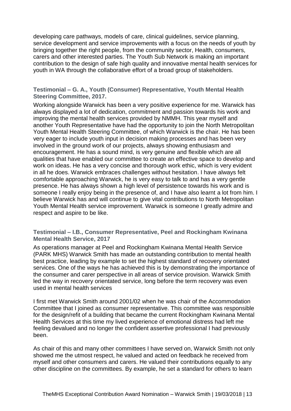developing care pathways, models of care, clinical guidelines, service planning, service development and service improvements with a focus on the needs of youth by bringing together the right people, from the community sector, Health, consumers, carers and other interested parties. The Youth Sub Network is making an important contribution to the design of safe high quality and innovative mental health services for youth in WA through the collaborative effort of a broad group of stakeholders.

<span id="page-14-0"></span>**Testimonial – G. A., Youth (Consumer) Representative, Youth Mental Health Steering Committee, 2017.** 

Working alongside Warwick has been a very positive experience for me. Warwick has always displayed a lot of dedication, commitment and passion towards his work and improving the mental health services provided by NMMH. This year myself and another Youth Representative have had the opportunity to join the North Metropolitan Youth Mental Health Steering Committee, of which Warwick is the chair. He has been very eager to include youth input in decision making processes and has been very involved in the ground work of our projects, always showing enthusiasm and encouragement. He has a sound mind, is very genuine and flexible which are all qualities that have enabled our committee to create an effective space to develop and work on ideas. He has a very concise and thorough work ethic, which is very evident in all he does. Warwick embraces challenges without hesitation. I have always felt comfortable approaching Warwick, he is very easy to talk to and has a very gentle presence. He has always shown a high level of persistence towards his work and is someone I really enjoy being in the presence of, and I have also learnt a lot from him. I believe Warwick has and will continue to give vital contributions to North Metropolitan Youth Mental Health service improvement. Warwick is someone I greatly admire and respect and aspire to be like.

#### <span id="page-14-1"></span>**Testimonial – I.B., Consumer Representative, Peel and Rockingham Kwinana Mental Health Service, 2017**

As operations manager at Peel and Rockingham Kwinana Mental Health Service (PARK MHS) Warwick Smith has made an outstanding contribution to mental health best practice, leading by example to set the highest standard of recovery orientated services. One of the ways he has achieved this is by demonstrating the importance of the consumer and carer perspective in all areas of service provision. Warwick Smith led the way in recovery orientated service, long before the term recovery was even used in mental health services

I first met Warwick Smith around 2001/02 when he was chair of the Accommodation Committee that I joined as consumer representative. This committee was responsible for the design/refit of a building that became the current Rockingham Kwinana Mental Health Services at this time my lived experience of emotional distress had left me feeling devalued and no longer the confident assertive professional I had previously been.

As chair of this and many other committees I have served on, Warwick Smith not only showed me the utmost respect, he valued and acted on feedback he received from myself and other consumers and carers. He valued their contributions equally to any other discipline on the committees. By example, he set a standard for others to learn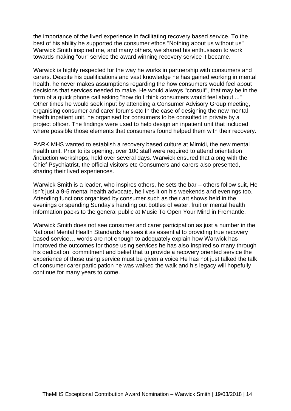the importance of the lived experience in facilitating recovery based service. To the best of his ability he supported the consumer ethos "Nothing about us without us" Warwick Smith inspired me, and many others, we shared his enthusiasm to work towards making "our" service the award winning recovery service it became.

Warwick is highly respected for the way he works in partnership with consumers and carers. Despite his qualifications and vast knowledge he has gained working in mental health, he never makes assumptions regarding the how consumers would feel about decisions that services needed to make. He would always "consult", that may be in the form of a quick phone call asking "how do I think consumers would feel about...." Other times he would seek input by attending a Consumer Advisory Group meeting, organising consumer and carer forums etc In the case of designing the new mental health inpatient unit, he organised for consumers to be consulted in private by a project officer. The findings were used to help design an inpatient unit that included where possible those elements that consumers found helped them with their recovery.

PARK MHS wanted to establish a recovery based culture at Mimidi, the new mental health unit. Prior to its opening, over 100 staff were required to attend orientation /induction workshops, held over several days. Warwick ensured that along with the Chief Psychiatrist, the official visitors etc Consumers and carers also presented, sharing their lived experiences.

Warwick Smith is a leader, who inspires others, he sets the bar – others follow suit, He isn't just a 9-5 mental health advocate, he lives it on his weekends and evenings too. Attending functions organised by consumer such as their art shows held in the evenings or spending Sunday's handing out bottles of water, fruit or mental health information packs to the general public at Music To Open Your Mind in Fremantle.

Warwick Smith does not see consumer and carer participation as just a number in the National Mental Health Standards he sees it as essential to providing true recovery based service… words are not enough to adequately explain how Warwick has improved the outcomes for those using services he has also inspired so many through his dedication, commitment and belief that to provide a recovery oriented service the experience of those using service must be given a voice He has not just talked the talk of consumer carer participation he was walked the walk and his legacy will hopefully continue for many years to come.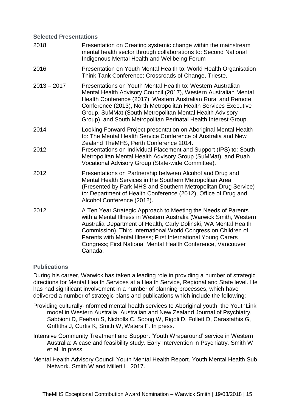#### <span id="page-16-0"></span>**Selected Presentations**

| 2018          | Presentation on Creating systemic change within the mainstream<br>mental health sector through collaborations to: Second National<br>Indigenous Mental Health and Wellbeing Forum                                                                                                                                                                                                                                     |
|---------------|-----------------------------------------------------------------------------------------------------------------------------------------------------------------------------------------------------------------------------------------------------------------------------------------------------------------------------------------------------------------------------------------------------------------------|
| 2016          | Presentation on Youth Mental Health to: World Health Organisation<br>Think Tank Conference: Crossroads of Change, Trieste.                                                                                                                                                                                                                                                                                            |
| $2013 - 2017$ | Presentations on Youth Mental Health to: Western Australian<br>Mental Health Advisory Council (2017), Western Australian Mental<br>Health Conference (2017), Western Australian Rural and Remote<br>Conference (2013), North Metropolitan Health Services Executive<br>Group, SuMMat (South Metropolitan Mental Health Advisory<br>Group), and South Metropolitan Perinatal Health Interest Group.                    |
| 2014          | Looking Forward Project presentation on Aboriginal Mental Health<br>to: The Mental Health Service Conference of Australia and New<br>Zealand TheMHS, Perth Conference 2014.                                                                                                                                                                                                                                           |
| 2012          | Presentations on Individual Placement and Support (IPS) to: South<br>Metropolitan Mental Health Advisory Group (SuMMat), and Ruah<br>Vocational Advisory Group (State-wide Committee).                                                                                                                                                                                                                                |
| 2012          | Presentations on Partnership between Alcohol and Drug and<br>Mental Health Services in the Southern Metropolitan Area<br>(Presented by Park MHS and Southern Metropolitan Drug Service)<br>to: Department of Health Conference (2012), Office of Drug and<br>Alcohol Conference (2012).                                                                                                                               |
| 2012          | A Ten Year Strategic Approach to Meeting the Needs of Parents<br>with a Mental Illness in Western Australia (Warwick Smith, Western<br>Australia Department of Health, Carly Dolinski, WA Mental Health<br>Commission). Third International World Congress on Children of<br>Parents with Mental Illness; First International Young Carers<br>Congress; First National Mental Health Conference, Vancouver<br>Canada. |

#### <span id="page-16-1"></span>**Publications**

During his career, Warwick has taken a leading role in providing a number of strategic directions for Mental Health Services at a Health Service, Regional and State level. He has had significant involvement in a number of planning processes, which have delivered a number of strategic plans and publications which include the following:

- Providing culturally-informed mental health services to Aboriginal youth: the YouthLink model in Western Australia. Australian and New Zealand Journal of Psychiatry. Sabbioni D, Feehan S, Nicholls C, Soong W, Rigoli D, Follett D, Carastathis G, Griffiths J, Curtis K, Smith W, Waters F. In press.
- Intensive Community Treatment and Support 'Youth Wraparound' service in Western Australia: A case and feasibility study. Early Intervention in Psychiatry. Smith W et al. In press.

Mental Health Advisory Council Youth Mental Health Report. Youth Mental Health Sub Network. Smith W and Millett L. 2017.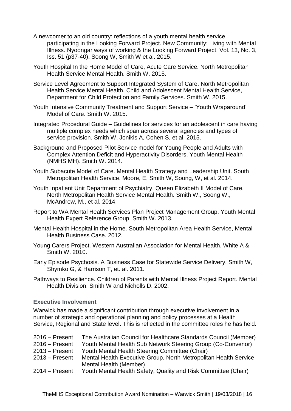- A newcomer to an old country: reflections of a youth mental health service participating in the Looking Forward Project. New Community: Living with Mental Illness. Nyoongar ways of working & the Looking Forward Project. Vol. 13, No. 3, Iss. 51 (p37-40). Soong W, Smith W et al. 2015.
- Youth Hospital In the Home Model of Care, Acute Care Service. North Metropolitan Health Service Mental Health. Smith W. 2015.
- Service Level Agreement to Support Integrated System of Care. North Metropolitan Health Service Mental Health, Child and Adolescent Mental Health Service, Department for Child Protection and Family Services. Smith W. 2015.
- Youth Intensive Community Treatment and Support Service 'Youth Wraparound' Model of Care. Smith W. 2015.
- Integrated Procedural Guide Guidelines for services for an adolescent in care having multiple complex needs which span across several agencies and types of service provision. Smith W, Jonikis A, Cohen S, et al. 2015.
- Background and Proposed Pilot Service model for Young People and Adults with Complex Attention Deficit and Hyperactivity Disorders. Youth Mental Health (NMHS MH). Smith W. 2014.
- Youth Subacute Model of Care. Mental Health Strategy and Leadership Unit. South Metropolitan Health Service. Moore, E, Smith W, Soong, W, et al. 2014.
- Youth Inpatient Unit Department of Psychiatry, Queen Elizabeth II Model of Care. North Metropolitan Health Service Mental Health. Smith W., Soong W., McAndrew, M., et al. 2014.
- Report to WA Mental Health Services Plan Project Management Group. Youth Mental Health Expert Reference Group. Smith W. 2013.
- Mental Health Hospital in the Home. South Metropolitan Area Health Service, Mental Health Business Case. 2012.
- Young Carers Project. Western Australian Association for Mental Health. White A & Smith W. 2010.
- Early Episode Psychosis. A Business Case for Statewide Service Delivery. Smith W, Shymko G, & Harrison T, et. al. 2011.
- Pathways to Resilience. Children of Parents with Mental Illness Project Report. Mental Health Division. Smith W and Nicholls D. 2002.

#### <span id="page-17-0"></span>**Executive Involvement**

Warwick has made a significant contribution through executive involvement in a number of strategic and operational planning and policy processes at a Health Service, Regional and State level. This is reflected in the committee roles he has held.

| $2016 -$ Present | The Australian Council for Healthcare Standards Council (Member) |
|------------------|------------------------------------------------------------------|
| $2016 -$ Present | Youth Mental Health Sub Network Steering Group (Co-Convenor)     |
| $2013 -$ Present | Youth Mental Health Steering Committee (Chair)                   |
| $2013 -$ Present | Mental Health Executive Group, North Metropolitan Health Service |
|                  | Mental Health (Member)                                           |
| $2014 -$ Present | Youth Mental Health Safety, Quality and Risk Committee (Chair)   |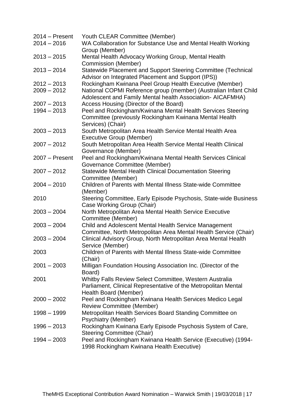| $2014 -$ Present               | Youth CLEAR Committee (Member)                                                                                |
|--------------------------------|---------------------------------------------------------------------------------------------------------------|
| $2014 - 2016$                  | WA Collaboration for Substance Use and Mental Health Working                                                  |
|                                | Group (Member)                                                                                                |
| $2013 - 2015$                  | Mental Health Advocacy Working Group, Mental Health                                                           |
|                                | <b>Commission (Member)</b>                                                                                    |
| $2013 - 2014$                  | Statewide Placement and Support Steering Committee (Technical                                                 |
|                                | Advisor on Integrated Placement and Support (IPS))<br>Rockingham Kwinana Peel Group Health Executive (Member) |
| $2012 - 2013$<br>$2009 - 2012$ | National COPMI Reference group (member) (Australian Infant Child                                              |
|                                | Adolescent and Family Mental health Association- AICAFMHA)                                                    |
| $2007 - 2013$<br>$1994 - 2013$ | Access Housing (Director of the Board)<br>Peel and Rockingham/Kwinana Mental Health Services Steering         |
|                                | Committee (previously Rockingham Kwinana Mental Health                                                        |
|                                | Services) (Chair)                                                                                             |
| $2003 - 2013$                  | South Metropolitan Area Health Service Mental Health Area                                                     |
|                                | <b>Executive Group (Member)</b>                                                                               |
| $2007 - 2012$                  | South Metropolitan Area Health Service Mental Health Clinical                                                 |
|                                | Governance (Member)                                                                                           |
| $2007 -$ Present               | Peel and Rockingham/Kwinana Mental Health Services Clinical                                                   |
|                                | Governance Committee (Member)                                                                                 |
| $2007 - 2012$                  | <b>Statewide Mental Health Clinical Documentation Steering</b>                                                |
|                                | Committee (Member)                                                                                            |
| $2004 - 2010$                  | Children of Parents with Mental Illness State-wide Committee                                                  |
| 2010                           | (Member)<br>Steering Committee, Early Episode Psychosis, State-wide Business                                  |
|                                | Case Working Group (Chair)                                                                                    |
| $2003 - 2004$                  | North Metropolitan Area Mental Health Service Executive                                                       |
|                                | Committee (Member)                                                                                            |
| $2003 - 2004$                  | Child and Adolescent Mental Health Service Management                                                         |
|                                | Committee, North Metropolitan Area Mental Health Service (Chair)                                              |
| $2003 - 2004$                  | Clinical Advisory Group, North Metropolitan Area Mental Health                                                |
|                                | Service (Member)                                                                                              |
| 2003                           | Children of Parents with Mental Illness State-wide Committee                                                  |
|                                | (Chair)                                                                                                       |
| $2001 - 2003$                  | Milligan Foundation Housing Association Inc. (Director of the<br>Board)                                       |
| 2001                           | Whitby Falls Review Select Committee, Western Australia                                                       |
|                                | Parliament, Clinical Representative of the Metropolitan Mental                                                |
|                                | Health Board (Member)                                                                                         |
| $2000 - 2002$                  | Peel and Rockingham Kwinana Health Services Medico Legal                                                      |
|                                | <b>Review Committee (Member)</b>                                                                              |
| 1998 - 1999                    | Metropolitan Health Services Board Standing Committee on                                                      |
|                                | <b>Psychiatry (Member)</b>                                                                                    |
| $1996 - 2013$                  | Rockingham Kwinana Early Episode Psychosis System of Care,                                                    |
|                                | <b>Steering Committee (Chair)</b>                                                                             |
| $1994 - 2003$                  | Peel and Rockingham Kwinana Health Service (Executive) (1994-                                                 |
|                                | 1998 Rockingham Kwinana Health Executive)                                                                     |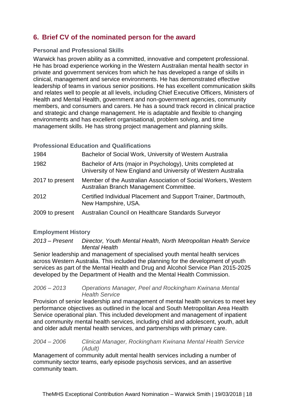### <span id="page-19-0"></span>**6. Brief CV of the nominated person for the award**

#### <span id="page-19-1"></span>**Personal and Professional Skills**

Warwick has proven ability as a committed, innovative and competent professional. He has broad experience working in the Western Australian mental health sector in private and government services from which he has developed a range of skills in clinical, management and service environments. He has demonstrated effective leadership of teams in various senior positions. He has excellent communication skills and relates well to people at all levels, including Chief Executive Officers, Ministers of Health and Mental Health, government and non-government agencies, community members, and consumers and carers. He has a sound track record in clinical practice and strategic and change management. He is adaptable and flexible to changing environments and has excellent organisational, problem solving, and time management skills. He has strong project management and planning skills.

#### <span id="page-19-2"></span>**Professional Education and Qualifications**

| 1984            | Bachelor of Social Work, University of Western Australia                                                                    |
|-----------------|-----------------------------------------------------------------------------------------------------------------------------|
| 1982            | Bachelor of Arts (major in Psychology), Units completed at<br>University of New England and University of Western Australia |
| 2017 to present | Member of the Australian Association of Social Workers, Western<br>Australian Branch Management Committee.                  |
| 2012            | Certified Individual Placement and Support Trainer, Dartmouth,<br>New Hampshire, USA.                                       |
| 2009 to present | Australian Council on Healthcare Standards Surveyor                                                                         |

#### <span id="page-19-3"></span>**Employment History**

*2013 – Present Director, Youth Mental Health, North Metropolitan Health Service Mental Health*

Senior leadership and management of specialised youth mental health services across Western Australia. This included the planning for the development of youth services as part of the Mental Health and Drug and Alcohol Service Plan 2015-2025 developed by the Department of Health and the Mental Health Commission.

#### *2006 – 2013 Operations Manager, Peel and Rockingham Kwinana Mental Health Service*

Provision of senior leadership and management of mental health services to meet key performance objectives as outlined in the local and South Metropolitan Area Health Service operational plan. This included development and management of inpatient and community mental health services, including child and adolescent, youth, adult and older adult mental health services, and partnerships with primary care.

#### *2004 – 2006 Clinical Manager, Rockingham Kwinana Mental Health Service (Adult)*

Management of community adult mental health services including a number of community sector teams, early episode psychosis services, and an assertive community team.